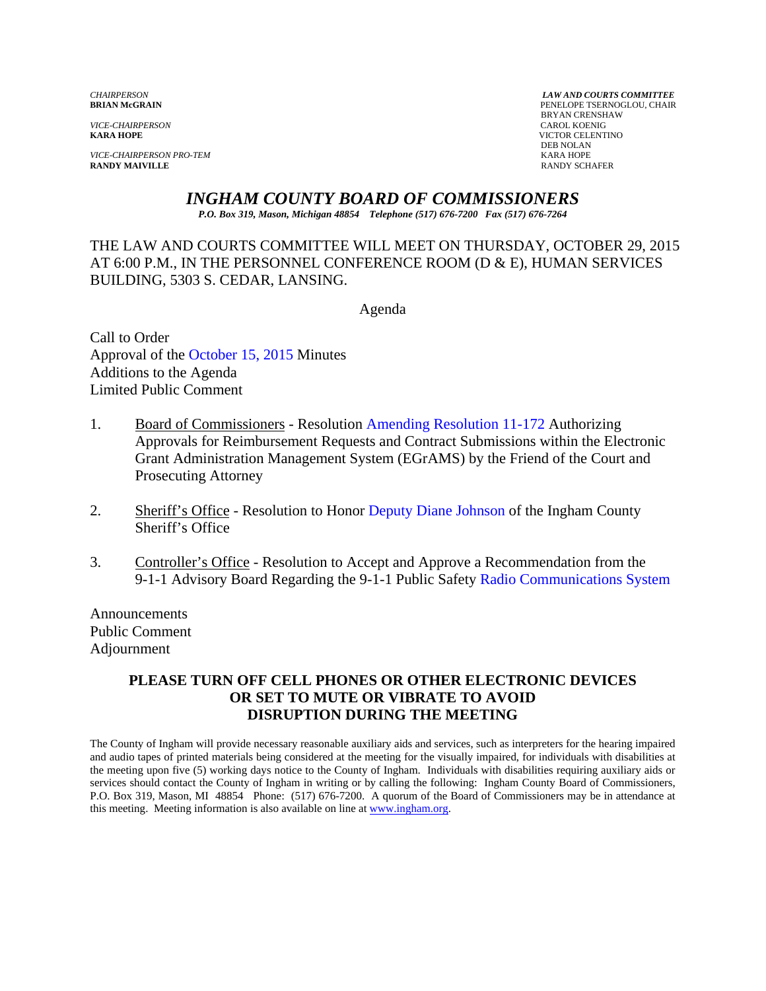*VICE-CHAIRPERSON*<br>**KARA HOPE** 

*VICE-CHAIRPERSON PRO-TEM* KARA HOPE **RANDY MAIVILLE** 

*CHAIRPERSON LAW AND COURTS COMMITTEE* PENELOPE TSERNOGLOU, CHAIR BRYAN CRENSHAW **VICTOR CELENTINO** DEB NOLAN

*INGHAM COUNTY BOARD OF COMMISSIONERS* 

*P.O. Box 319, Mason, Michigan 48854 Telephone (517) 676-7200 Fax (517) 676-7264*

THE LAW AND COURTS COMMITTEE WILL MEET ON THURSDAY, OCTOBER 29, 2015 AT 6:00 P.M., IN THE PERSONNEL CONFERENCE ROOM (D & E), HUMAN SERVICES BUILDING, 5303 S. CEDAR, LANSING.

Agenda

Call to Order Approval of [the October 15, 2015](#page-1-0) Minutes Additions to the Agenda Limited Public Comment

- 1. Board of Commissioners Resolution Amending Resolution 11-172 Authorizing Approvals for Reimbursement Re[quests and Contract Submissions within the E](#page-6-0)lectronic Grant Administration Management System (EGrAMS) by the Friend of the Court and Prosecuting Attorney
- 2. Sheriff's Office Resolution to Honor [Deputy Diane Johnson of the In](#page-10-0)gham County Sheriff's Office
- 3. Controller's Office Resolution to Accept and Approve a Recommendation from the 9-1-1 Advisory Board Regarding the 9-1-1 Public Saf[ety Radio Communications System](#page-11-0)

Announcements Public Comment Adjournment

### **PLEASE TURN OFF CELL PHONES OR OTHER ELECTRONIC DEVICES OR SET TO MUTE OR VIBRATE TO AVOID DISRUPTION DURING THE MEETING**

The County of Ingham will provide necessary reasonable auxiliary aids and services, such as interpreters for the hearing impaired and audio tapes of printed materials being considered at the meeting for the visually impaired, for individuals with disabilities at the meeting upon five (5) working days notice to the County of Ingham. Individuals with disabilities requiring auxiliary aids or services should contact the County of Ingham in writing or by calling the following: Ingham County Board of Commissioners, P.O. Box 319, Mason, MI 48854 Phone: (517) 676-7200. A quorum of the Board of Commissioners may be in attendance at this meeting. Meeting information is also available on line at www.ingham.org.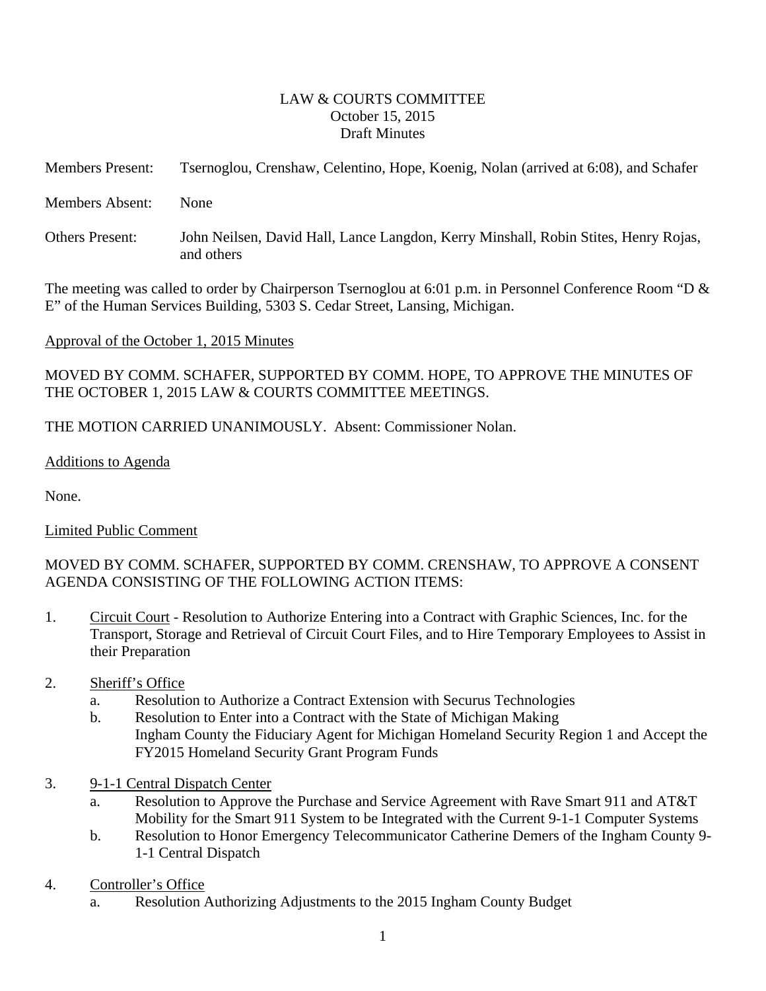### LAW & COURTS COMMITTEE October 15, 2015 Draft Minutes

<span id="page-1-0"></span>

| <b>Members Present:</b> | Tsernoglou, Crenshaw, Celentino, Hope, Koenig, Nolan (arrived at 6:08), and Schafer |  |  |
|-------------------------|-------------------------------------------------------------------------------------|--|--|
|                         |                                                                                     |  |  |

Members Absent: None

Others Present: John Neilsen, David Hall, Lance Langdon, Kerry Minshall, Robin Stites, Henry Rojas, and others

The meeting was called to order by Chairperson Tsernoglou at 6:01 p.m. in Personnel Conference Room "D & E" of the Human Services Building, 5303 S. Cedar Street, Lansing, Michigan.

## Approval of the October 1, 2015 Minutes

MOVED BY COMM. SCHAFER, SUPPORTED BY COMM. HOPE, TO APPROVE THE MINUTES OF THE OCTOBER 1, 2015 LAW & COURTS COMMITTEE MEETINGS.

## THE MOTION CARRIED UNANIMOUSLY. Absent: Commissioner Nolan.

## Additions to Agenda

None.

## Limited Public Comment

# MOVED BY COMM. SCHAFER, SUPPORTED BY COMM. CRENSHAW, TO APPROVE A CONSENT AGENDA CONSISTING OF THE FOLLOWING ACTION ITEMS:

1. Circuit Court - Resolution to Authorize Entering into a Contract with Graphic Sciences, Inc. for the Transport, Storage and Retrieval of Circuit Court Files, and to Hire Temporary Employees to Assist in their Preparation

## 2. Sheriff's Office

- a. Resolution to Authorize a Contract Extension with Securus Technologies
- b. Resolution to Enter into a Contract with the State of Michigan Making Ingham County the Fiduciary Agent for Michigan Homeland Security Region 1 and Accept the FY2015 Homeland Security Grant Program Funds
- 3. 9-1-1 Central Dispatch Center
	- a. Resolution to Approve the Purchase and Service Agreement with Rave Smart 911 and AT&T Mobility for the Smart 911 System to be Integrated with the Current 9-1-1 Computer Systems
	- b. Resolution to Honor Emergency Telecommunicator Catherine Demers of the Ingham County 9- 1-1 Central Dispatch

## 4. Controller's Office

a. Resolution Authorizing Adjustments to the 2015 Ingham County Budget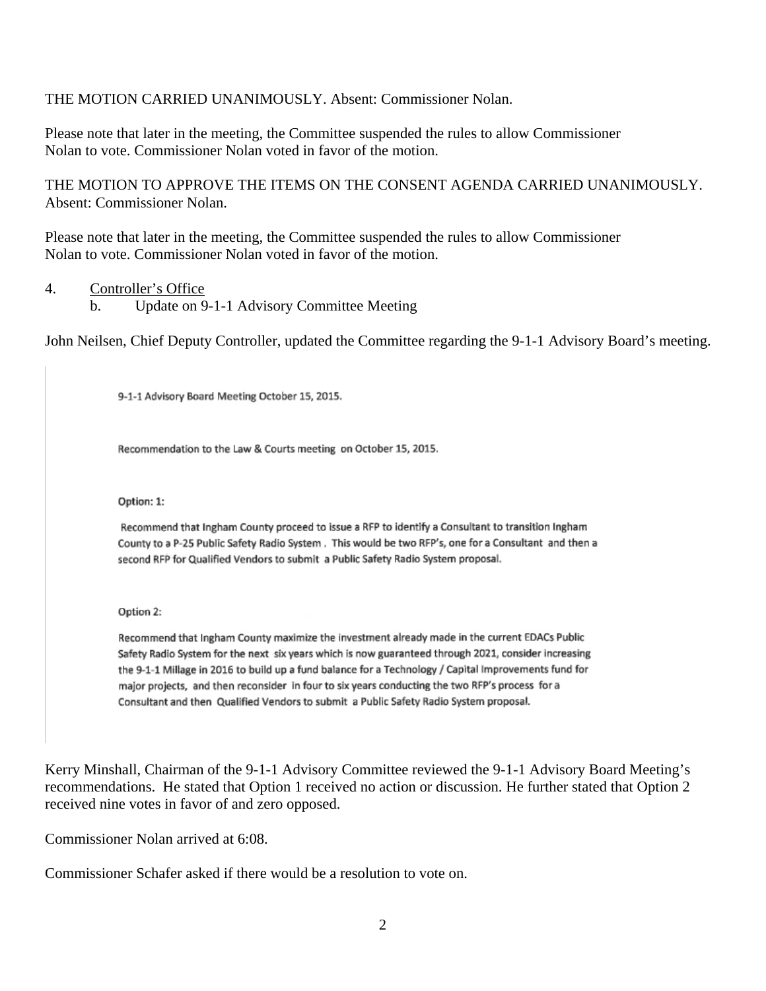### THE MOTION CARRIED UNANIMOUSLY. Absent: Commissioner Nolan.

Please note that later in the meeting, the Committee suspended the rules to allow Commissioner Nolan to vote. Commissioner Nolan voted in favor of the motion.

THE MOTION TO APPROVE THE ITEMS ON THE CONSENT AGENDA CARRIED UNANIMOUSLY. Absent: Commissioner Nolan.

Please note that later in the meeting, the Committee suspended the rules to allow Commissioner Nolan to vote. Commissioner Nolan voted in favor of the motion.

### 4. Controller's Office

b. Update on 9-1-1 Advisory Committee Meeting

John Neilsen, Chief Deputy Controller, updated the Committee regarding the 9-1-1 Advisory Board's meeting.

9-1-1 Advisory Board Meeting October 15, 2015.

Recommendation to the Law & Courts meeting on October 15, 2015.

Option: 1:

Recommend that Ingham County proceed to issue a RFP to identify a Consultant to transition Ingham County to a P-25 Public Safety Radio System. This would be two RFP's, one for a Consultant and then a second RFP for Qualified Vendors to submit a Public Safety Radio System proposal.

Option 2:

Recommend that Ingham County maximize the investment already made in the current EDACs Public Safety Radio System for the next six years which is now guaranteed through 2021, consider increasing the 9-1-1 Millage in 2016 to build up a fund balance for a Technology / Capital Improvements fund for major projects, and then reconsider in four to six years conducting the two RFP's process for a Consultant and then Qualified Vendors to submit a Public Safety Radio System proposal.

Kerry Minshall, Chairman of the 9-1-1 Advisory Committee reviewed the 9-1-1 Advisory Board Meeting's recommendations. He stated that Option 1 received no action or discussion. He further stated that Option 2 received nine votes in favor of and zero opposed.

Commissioner Nolan arrived at 6:08.

Commissioner Schafer asked if there would be a resolution to vote on.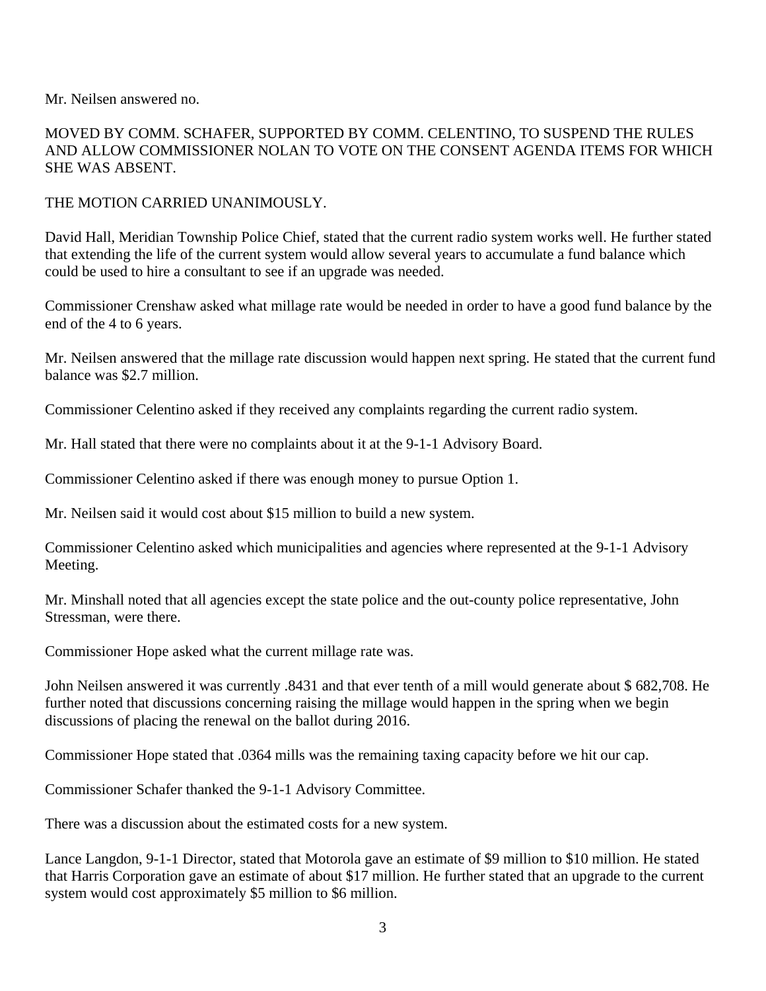Mr. Neilsen answered no.

MOVED BY COMM. SCHAFER, SUPPORTED BY COMM. CELENTINO, TO SUSPEND THE RULES AND ALLOW COMMISSIONER NOLAN TO VOTE ON THE CONSENT AGENDA ITEMS FOR WHICH SHE WAS ABSENT.

### THE MOTION CARRIED UNANIMOUSLY.

David Hall, Meridian Township Police Chief, stated that the current radio system works well. He further stated that extending the life of the current system would allow several years to accumulate a fund balance which could be used to hire a consultant to see if an upgrade was needed.

Commissioner Crenshaw asked what millage rate would be needed in order to have a good fund balance by the end of the 4 to 6 years.

Mr. Neilsen answered that the millage rate discussion would happen next spring. He stated that the current fund balance was \$2.7 million.

Commissioner Celentino asked if they received any complaints regarding the current radio system.

Mr. Hall stated that there were no complaints about it at the 9-1-1 Advisory Board.

Commissioner Celentino asked if there was enough money to pursue Option 1.

Mr. Neilsen said it would cost about \$15 million to build a new system.

Commissioner Celentino asked which municipalities and agencies where represented at the 9-1-1 Advisory Meeting.

Mr. Minshall noted that all agencies except the state police and the out-county police representative, John Stressman, were there.

Commissioner Hope asked what the current millage rate was.

John Neilsen answered it was currently .8431 and that ever tenth of a mill would generate about \$ 682,708. He further noted that discussions concerning raising the millage would happen in the spring when we begin discussions of placing the renewal on the ballot during 2016.

Commissioner Hope stated that .0364 mills was the remaining taxing capacity before we hit our cap.

Commissioner Schafer thanked the 9-1-1 Advisory Committee.

There was a discussion about the estimated costs for a new system.

Lance Langdon, 9-1-1 Director, stated that Motorola gave an estimate of \$9 million to \$10 million. He stated that Harris Corporation gave an estimate of about \$17 million. He further stated that an upgrade to the current system would cost approximately \$5 million to \$6 million.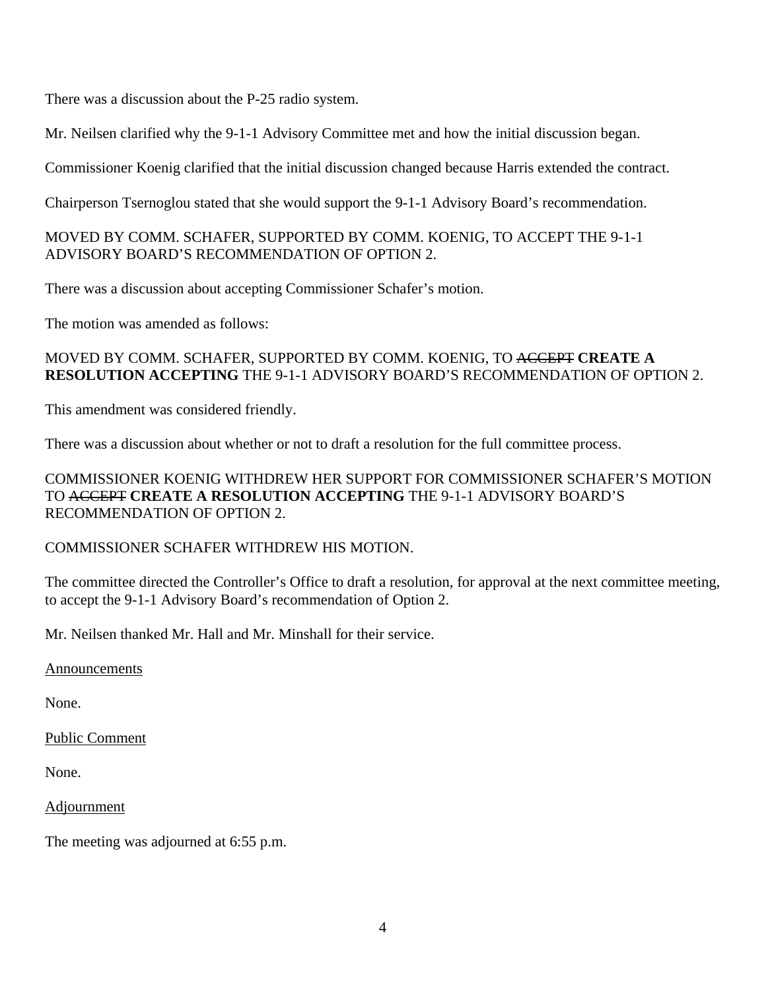There was a discussion about the P-25 radio system.

Mr. Neilsen clarified why the 9-1-1 Advisory Committee met and how the initial discussion began.

Commissioner Koenig clarified that the initial discussion changed because Harris extended the contract.

Chairperson Tsernoglou stated that she would support the 9-1-1 Advisory Board's recommendation.

## MOVED BY COMM. SCHAFER, SUPPORTED BY COMM. KOENIG, TO ACCEPT THE 9-1-1 ADVISORY BOARD'S RECOMMENDATION OF OPTION 2.

There was a discussion about accepting Commissioner Schafer's motion.

The motion was amended as follows:

## MOVED BY COMM. SCHAFER, SUPPORTED BY COMM. KOENIG, TO ACCEPT **CREATE A RESOLUTION ACCEPTING** THE 9-1-1 ADVISORY BOARD'S RECOMMENDATION OF OPTION 2.

This amendment was considered friendly.

There was a discussion about whether or not to draft a resolution for the full committee process.

COMMISSIONER KOENIG WITHDREW HER SUPPORT FOR COMMISSIONER SCHAFER'S MOTION TO ACCEPT **CREATE A RESOLUTION ACCEPTING** THE 9-1-1 ADVISORY BOARD'S RECOMMENDATION OF OPTION 2.

# COMMISSIONER SCHAFER WITHDREW HIS MOTION.

The committee directed the Controller's Office to draft a resolution, for approval at the next committee meeting, to accept the 9-1-1 Advisory Board's recommendation of Option 2.

Mr. Neilsen thanked Mr. Hall and Mr. Minshall for their service.

Announcements

None.

Public Comment

None.

Adjournment

The meeting was adjourned at 6:55 p.m.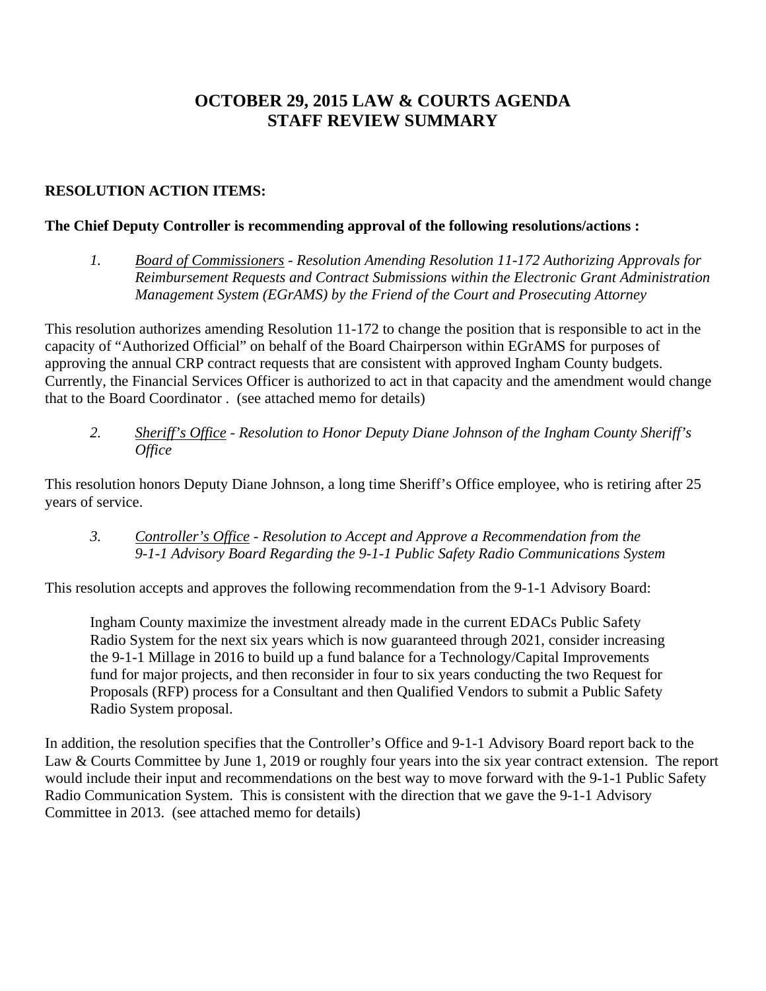# **OCTOBER 29, 2015 LAW & COURTS AGENDA STAFF REVIEW SUMMARY**

# **RESOLUTION ACTION ITEMS:**

### **The Chief Deputy Controller is recommending approval of the following resolutions/actions :**

*1. Board of Commissioners - Resolution Amending Resolution 11-172 Authorizing Approvals for Reimbursement Requests and Contract Submissions within the Electronic Grant Administration Management System (EGrAMS) by the Friend of the Court and Prosecuting Attorney* 

This resolution authorizes amending Resolution 11-172 to change the position that is responsible to act in the capacity of "Authorized Official" on behalf of the Board Chairperson within EGrAMS for purposes of approving the annual CRP contract requests that are consistent with approved Ingham County budgets. Currently, the Financial Services Officer is authorized to act in that capacity and the amendment would change that to the Board Coordinator . (see attached memo for details)

*2. Sheriff's Office - Resolution to Honor Deputy Diane Johnson of the Ingham County Sheriff's Office* 

This resolution honors Deputy Diane Johnson, a long time Sheriff's Office employee, who is retiring after 25 years of service.

*3. Controller's Office - Resolution to Accept and Approve a Recommendation from the 9-1-1 Advisory Board Regarding the 9-1-1 Public Safety Radio Communications System* 

This resolution accepts and approves the following recommendation from the 9-1-1 Advisory Board:

Ingham County maximize the investment already made in the current EDACs Public Safety Radio System for the next six years which is now guaranteed through 2021, consider increasing the 9-1-1 Millage in 2016 to build up a fund balance for a Technology/Capital Improvements fund for major projects, and then reconsider in four to six years conducting the two Request for Proposals (RFP) process for a Consultant and then Qualified Vendors to submit a Public Safety Radio System proposal.

In addition, the resolution specifies that the Controller's Office and 9-1-1 Advisory Board report back to the Law & Courts Committee by June 1, 2019 or roughly four years into the six year contract extension. The report would include their input and recommendations on the best way to move forward with the 9-1-1 Public Safety Radio Communication System. This is consistent with the direction that we gave the 9-1-1 Advisory Committee in 2013. (see attached memo for details)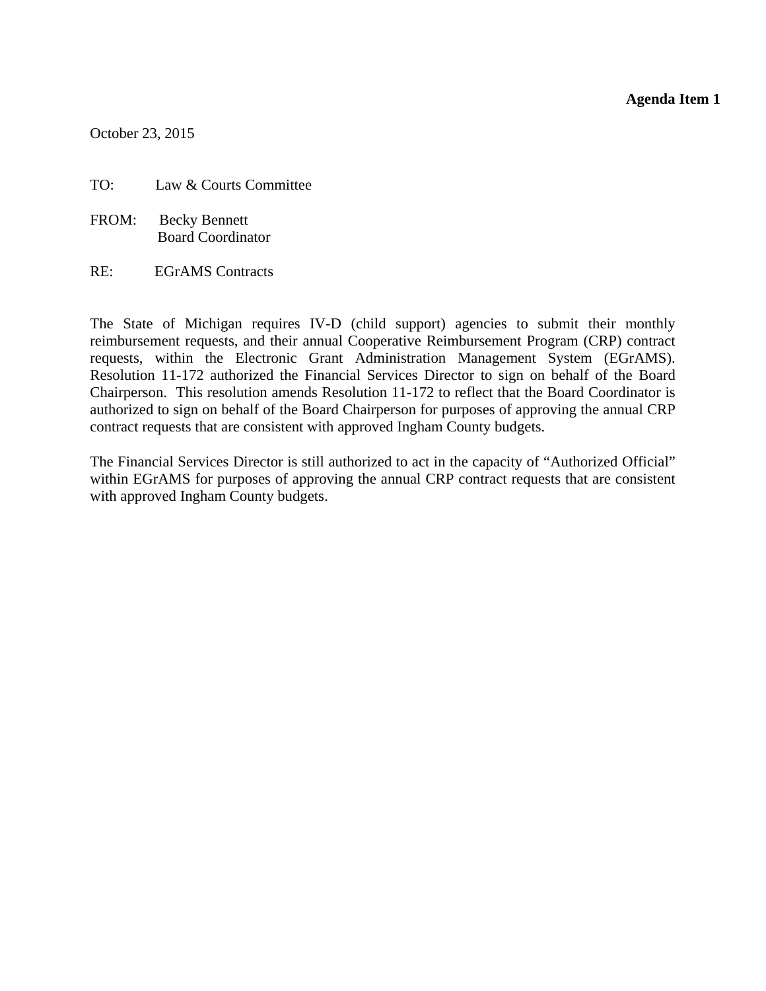### **Agenda Item 1**

<span id="page-6-0"></span>October 23, 2015

- TO: Law & Courts Committee
- FROM: Becky Bennett Board Coordinator
- RE: EGrAMS Contracts

The State of Michigan requires IV-D (child support) agencies to submit their monthly reimbursement requests, and their annual Cooperative Reimbursement Program (CRP) contract requests, within the Electronic Grant Administration Management System (EGrAMS). Resolution 11-172 authorized the Financial Services Director to sign on behalf of the Board Chairperson. This resolution amends Resolution 11-172 to reflect that the Board Coordinator is authorized to sign on behalf of the Board Chairperson for purposes of approving the annual CRP contract requests that are consistent with approved Ingham County budgets.

The Financial Services Director is still authorized to act in the capacity of "Authorized Official" within EGrAMS for purposes of approving the annual CRP contract requests that are consistent with approved Ingham County budgets.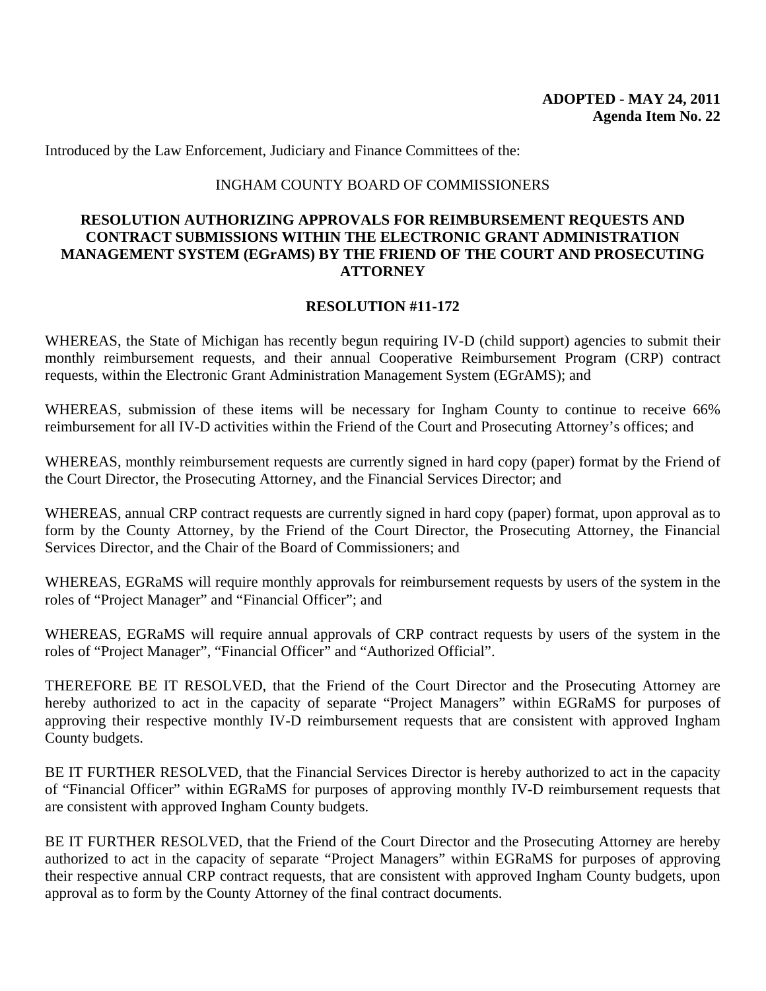Introduced by the Law Enforcement, Judiciary and Finance Committees of the:

### INGHAM COUNTY BOARD OF COMMISSIONERS

### **RESOLUTION AUTHORIZING APPROVALS FOR REIMBURSEMENT REQUESTS AND CONTRACT SUBMISSIONS WITHIN THE ELECTRONIC GRANT ADMINISTRATION MANAGEMENT SYSTEM (EGrAMS) BY THE FRIEND OF THE COURT AND PROSECUTING ATTORNEY**

### **RESOLUTION #11-172**

WHEREAS, the State of Michigan has recently begun requiring IV-D (child support) agencies to submit their monthly reimbursement requests, and their annual Cooperative Reimbursement Program (CRP) contract requests, within the Electronic Grant Administration Management System (EGrAMS); and

WHEREAS, submission of these items will be necessary for Ingham County to continue to receive 66% reimbursement for all IV-D activities within the Friend of the Court and Prosecuting Attorney's offices; and

WHEREAS, monthly reimbursement requests are currently signed in hard copy (paper) format by the Friend of the Court Director, the Prosecuting Attorney, and the Financial Services Director; and

WHEREAS, annual CRP contract requests are currently signed in hard copy (paper) format, upon approval as to form by the County Attorney, by the Friend of the Court Director, the Prosecuting Attorney, the Financial Services Director, and the Chair of the Board of Commissioners; and

WHEREAS, EGRaMS will require monthly approvals for reimbursement requests by users of the system in the roles of "Project Manager" and "Financial Officer"; and

WHEREAS, EGRaMS will require annual approvals of CRP contract requests by users of the system in the roles of "Project Manager", "Financial Officer" and "Authorized Official".

THEREFORE BE IT RESOLVED, that the Friend of the Court Director and the Prosecuting Attorney are hereby authorized to act in the capacity of separate "Project Managers" within EGRaMS for purposes of approving their respective monthly IV-D reimbursement requests that are consistent with approved Ingham County budgets.

BE IT FURTHER RESOLVED, that the Financial Services Director is hereby authorized to act in the capacity of "Financial Officer" within EGRaMS for purposes of approving monthly IV-D reimbursement requests that are consistent with approved Ingham County budgets.

BE IT FURTHER RESOLVED, that the Friend of the Court Director and the Prosecuting Attorney are hereby authorized to act in the capacity of separate "Project Managers" within EGRaMS for purposes of approving their respective annual CRP contract requests, that are consistent with approved Ingham County budgets, upon approval as to form by the County Attorney of the final contract documents.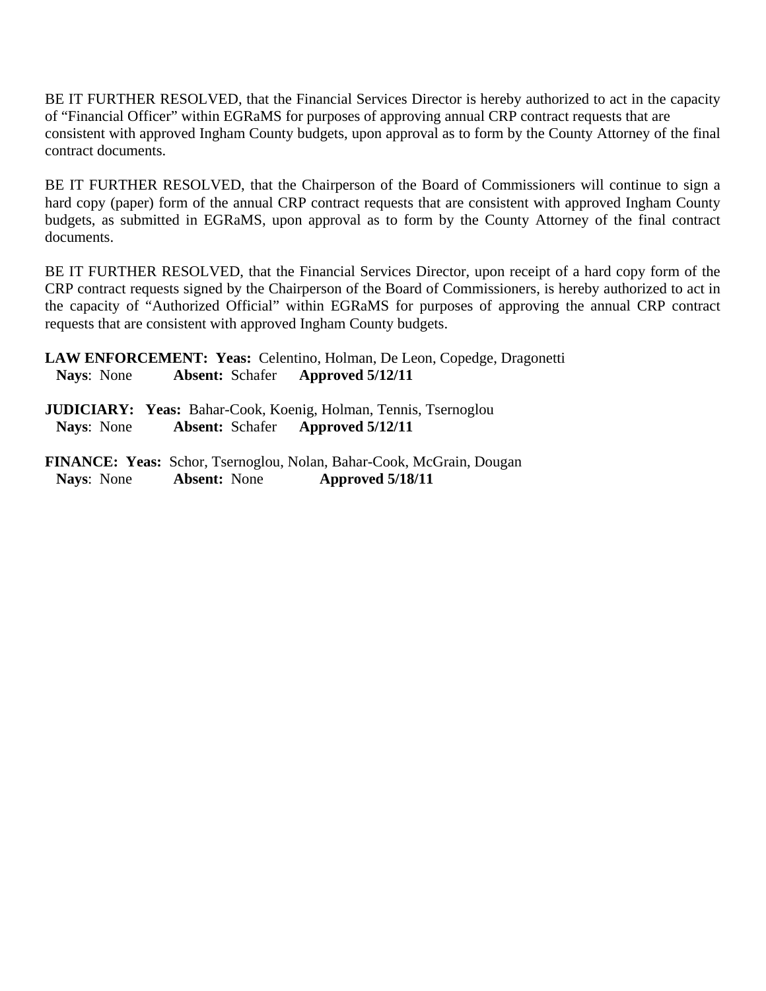BE IT FURTHER RESOLVED, that the Financial Services Director is hereby authorized to act in the capacity of "Financial Officer" within EGRaMS for purposes of approving annual CRP contract requests that are consistent with approved Ingham County budgets, upon approval as to form by the County Attorney of the final contract documents.

BE IT FURTHER RESOLVED, that the Chairperson of the Board of Commissioners will continue to sign a hard copy (paper) form of the annual CRP contract requests that are consistent with approved Ingham County budgets, as submitted in EGRaMS, upon approval as to form by the County Attorney of the final contract documents.

BE IT FURTHER RESOLVED, that the Financial Services Director, upon receipt of a hard copy form of the CRP contract requests signed by the Chairperson of the Board of Commissioners, is hereby authorized to act in the capacity of "Authorized Official" within EGRaMS for purposes of approving the annual CRP contract requests that are consistent with approved Ingham County budgets.

**LAW ENFORCEMENT: Yeas:** Celentino, Holman, De Leon, Copedge, Dragonetti  **Nays**: None **Absent:** Schafer **Approved 5/12/11**

**JUDICIARY: Yeas:** Bahar-Cook, Koenig, Holman, Tennis, Tsernoglou  **Nays**: None **Absent:** Schafer **Approved 5/12/11**

**FINANCE: Yeas:** Schor, Tsernoglou, Nolan, Bahar-Cook, McGrain, Dougan  **Nays**: None **Absent:** None **Approved 5/18/11**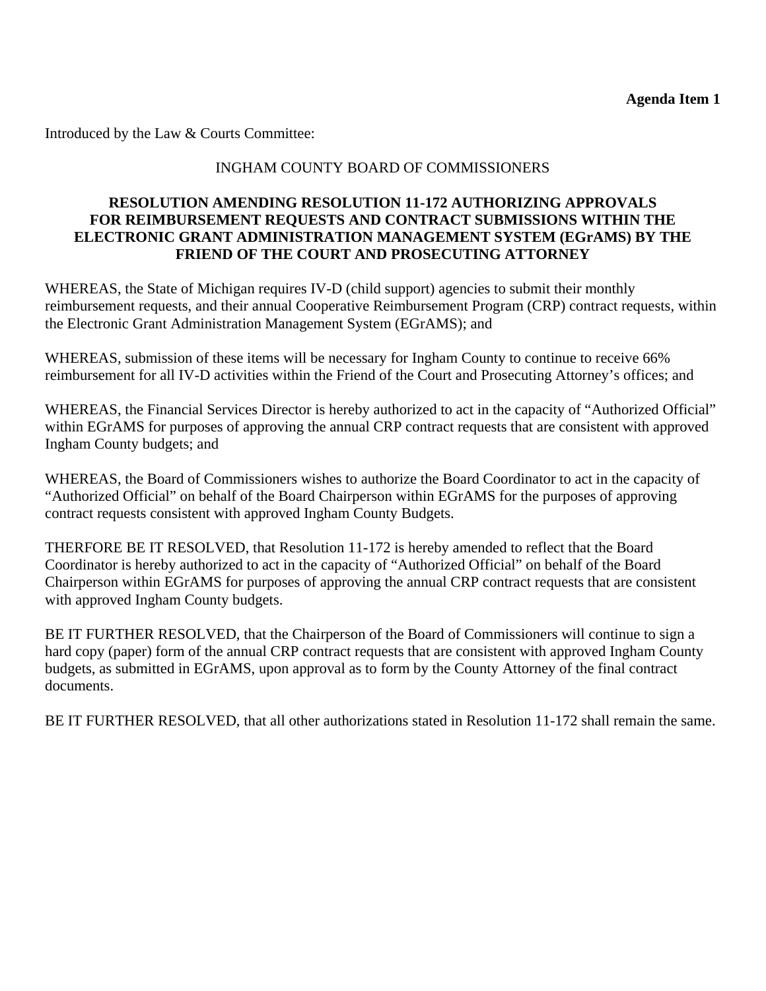Introduced by the Law & Courts Committee:

# INGHAM COUNTY BOARD OF COMMISSIONERS

### **RESOLUTION AMENDING RESOLUTION 11-172 AUTHORIZING APPROVALS FOR REIMBURSEMENT REQUESTS AND CONTRACT SUBMISSIONS WITHIN THE ELECTRONIC GRANT ADMINISTRATION MANAGEMENT SYSTEM (EGrAMS) BY THE FRIEND OF THE COURT AND PROSECUTING ATTORNEY**

WHEREAS, the State of Michigan requires IV-D (child support) agencies to submit their monthly reimbursement requests, and their annual Cooperative Reimbursement Program (CRP) contract requests, within the Electronic Grant Administration Management System (EGrAMS); and

WHEREAS, submission of these items will be necessary for Ingham County to continue to receive 66% reimbursement for all IV-D activities within the Friend of the Court and Prosecuting Attorney's offices; and

WHEREAS, the Financial Services Director is hereby authorized to act in the capacity of "Authorized Official" within EGrAMS for purposes of approving the annual CRP contract requests that are consistent with approved Ingham County budgets; and

WHEREAS, the Board of Commissioners wishes to authorize the Board Coordinator to act in the capacity of "Authorized Official" on behalf of the Board Chairperson within EGrAMS for the purposes of approving contract requests consistent with approved Ingham County Budgets.

THERFORE BE IT RESOLVED, that Resolution 11-172 is hereby amended to reflect that the Board Coordinator is hereby authorized to act in the capacity of "Authorized Official" on behalf of the Board Chairperson within EGrAMS for purposes of approving the annual CRP contract requests that are consistent with approved Ingham County budgets.

BE IT FURTHER RESOLVED, that the Chairperson of the Board of Commissioners will continue to sign a hard copy (paper) form of the annual CRP contract requests that are consistent with approved Ingham County budgets, as submitted in EGrAMS, upon approval as to form by the County Attorney of the final contract documents.

BE IT FURTHER RESOLVED, that all other authorizations stated in Resolution 11-172 shall remain the same.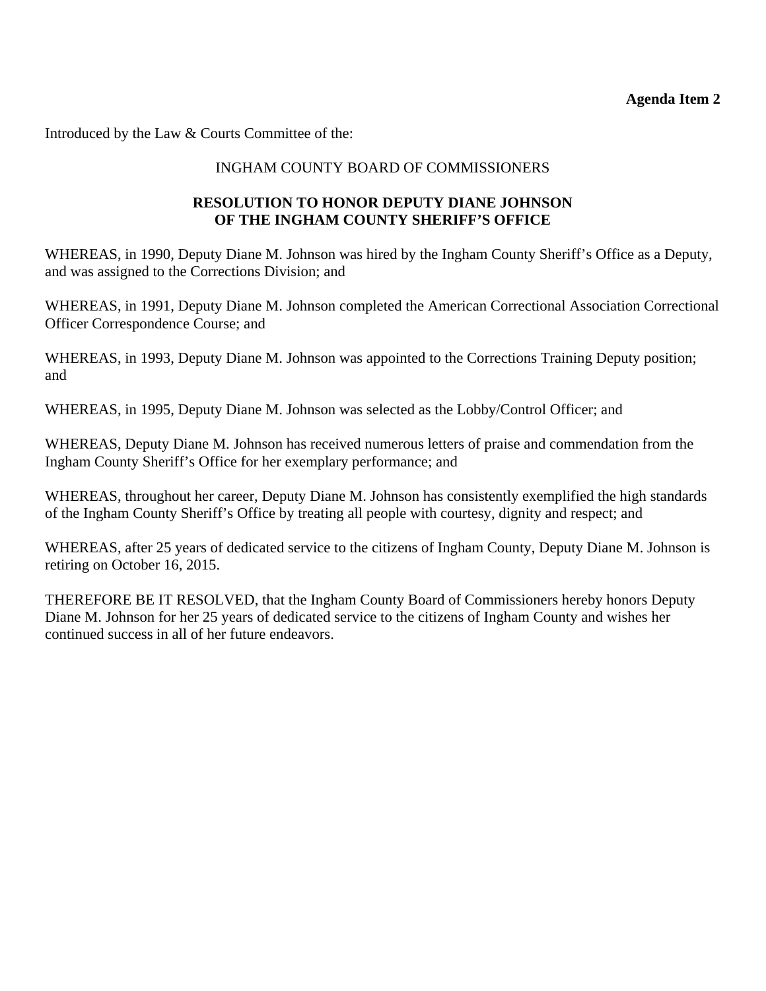<span id="page-10-0"></span>Introduced by the Law & Courts Committee of the:

# INGHAM COUNTY BOARD OF COMMISSIONERS

# **RESOLUTION TO HONOR DEPUTY DIANE JOHNSON OF THE INGHAM COUNTY SHERIFF'S OFFICE**

WHEREAS, in 1990, Deputy Diane M. Johnson was hired by the Ingham County Sheriff's Office as a Deputy, and was assigned to the Corrections Division; and

WHEREAS, in 1991, Deputy Diane M. Johnson completed the American Correctional Association Correctional Officer Correspondence Course; and

WHEREAS, in 1993, Deputy Diane M. Johnson was appointed to the Corrections Training Deputy position; and

WHEREAS, in 1995, Deputy Diane M. Johnson was selected as the Lobby/Control Officer; and

WHEREAS, Deputy Diane M. Johnson has received numerous letters of praise and commendation from the Ingham County Sheriff's Office for her exemplary performance; and

WHEREAS, throughout her career, Deputy Diane M. Johnson has consistently exemplified the high standards of the Ingham County Sheriff's Office by treating all people with courtesy, dignity and respect; and

WHEREAS, after 25 years of dedicated service to the citizens of Ingham County, Deputy Diane M. Johnson is retiring on October 16, 2015.

THEREFORE BE IT RESOLVED, that the Ingham County Board of Commissioners hereby honors Deputy Diane M. Johnson for her 25 years of dedicated service to the citizens of Ingham County and wishes her continued success in all of her future endeavors.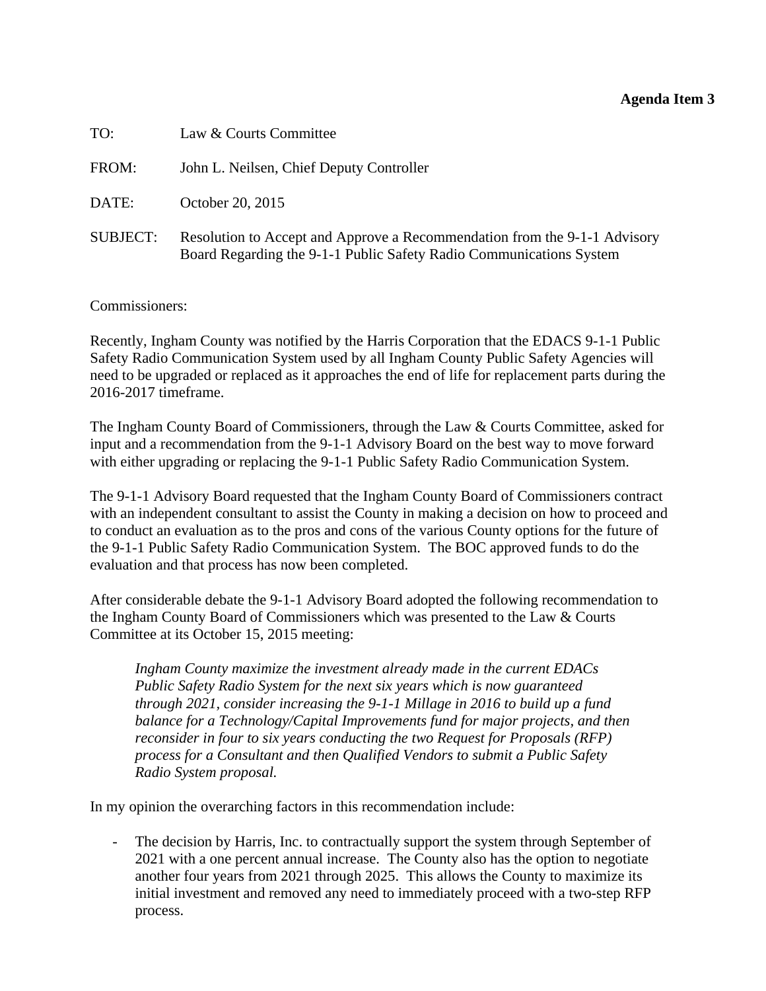### **Agenda Item 3**

<span id="page-11-0"></span>

| TO:             | Law & Courts Committee                                                                                                                           |
|-----------------|--------------------------------------------------------------------------------------------------------------------------------------------------|
| FROM:           | John L. Neilsen, Chief Deputy Controller                                                                                                         |
| DATE:           | October 20, 2015                                                                                                                                 |
| <b>SUBJECT:</b> | Resolution to Accept and Approve a Recommendation from the 9-1-1 Advisory<br>Board Regarding the 9-1-1 Public Safety Radio Communications System |

Commissioners:

Recently, Ingham County was notified by the Harris Corporation that the EDACS 9-1-1 Public Safety Radio Communication System used by all Ingham County Public Safety Agencies will need to be upgraded or replaced as it approaches the end of life for replacement parts during the 2016-2017 timeframe.

The Ingham County Board of Commissioners, through the Law & Courts Committee, asked for input and a recommendation from the 9-1-1 Advisory Board on the best way to move forward with either upgrading or replacing the 9-1-1 Public Safety Radio Communication System.

The 9-1-1 Advisory Board requested that the Ingham County Board of Commissioners contract with an independent consultant to assist the County in making a decision on how to proceed and to conduct an evaluation as to the pros and cons of the various County options for the future of the 9-1-1 Public Safety Radio Communication System. The BOC approved funds to do the evaluation and that process has now been completed.

After considerable debate the 9-1-1 Advisory Board adopted the following recommendation to the Ingham County Board of Commissioners which was presented to the Law & Courts Committee at its October 15, 2015 meeting:

*Ingham County maximize the investment already made in the current EDACs Public Safety Radio System for the next six years which is now guaranteed through 2021, consider increasing the 9-1-1 Millage in 2016 to build up a fund balance for a Technology/Capital Improvements fund for major projects, and then reconsider in four to six years conducting the two Request for Proposals (RFP) process for a Consultant and then Qualified Vendors to submit a Public Safety Radio System proposal.* 

In my opinion the overarching factors in this recommendation include:

The decision by Harris, Inc. to contractually support the system through September of 2021 with a one percent annual increase. The County also has the option to negotiate another four years from 2021 through 2025. This allows the County to maximize its initial investment and removed any need to immediately proceed with a two-step RFP process.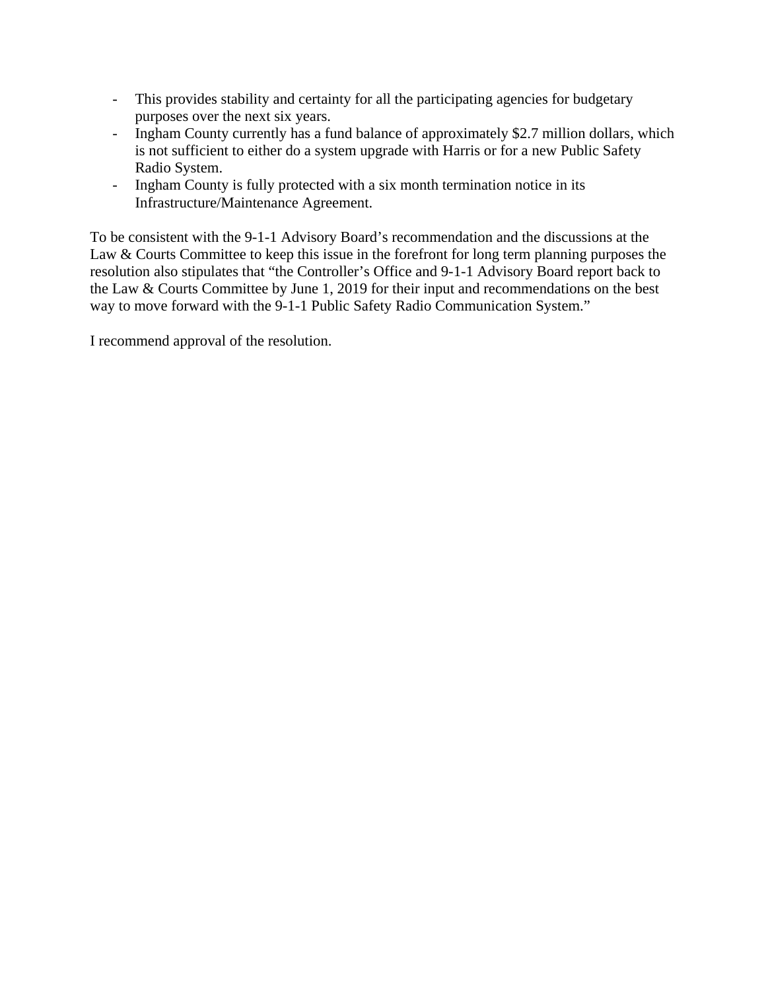- This provides stability and certainty for all the participating agencies for budgetary purposes over the next six years.
- Ingham County currently has a fund balance of approximately \$2.7 million dollars, which is not sufficient to either do a system upgrade with Harris or for a new Public Safety Radio System.
- Ingham County is fully protected with a six month termination notice in its Infrastructure/Maintenance Agreement.

To be consistent with the 9-1-1 Advisory Board's recommendation and the discussions at the Law & Courts Committee to keep this issue in the forefront for long term planning purposes the resolution also stipulates that "the Controller's Office and 9-1-1 Advisory Board report back to the Law & Courts Committee by June 1, 2019 for their input and recommendations on the best way to move forward with the 9-1-1 Public Safety Radio Communication System."

I recommend approval of the resolution.